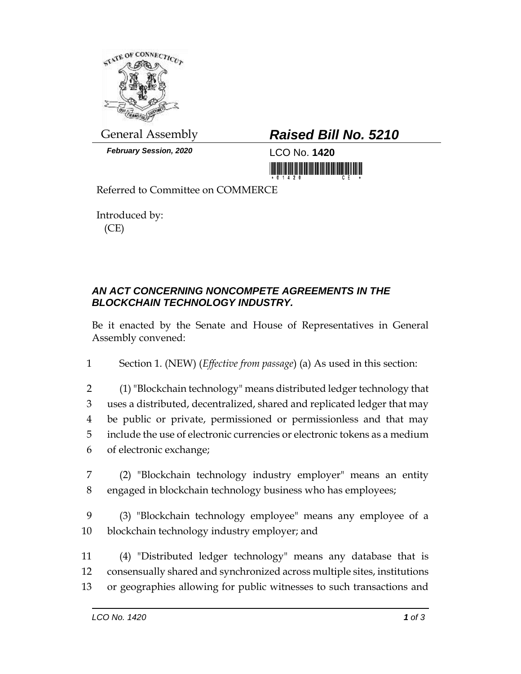

*February Session, 2020* LCO No. **1420**

## General Assembly *Raised Bill No. 5210*

<u>tin kuid boi kokuunna maanii hi</u>

Referred to Committee on COMMERCE

Introduced by: (CE)

## *AN ACT CONCERNING NONCOMPETE AGREEMENTS IN THE BLOCKCHAIN TECHNOLOGY INDUSTRY.*

Be it enacted by the Senate and House of Representatives in General Assembly convened:

1 Section 1. (NEW) (*Effective from passage*) (a) As used in this section:

 (1) "Blockchain technology" means distributed ledger technology that uses a distributed, decentralized, shared and replicated ledger that may be public or private, permissioned or permissionless and that may include the use of electronic currencies or electronic tokens as a medium of electronic exchange;

7 (2) "Blockchain technology industry employer" means an entity 8 engaged in blockchain technology business who has employees;

9 (3) "Blockchain technology employee" means any employee of a 10 blockchain technology industry employer; and

11 (4) "Distributed ledger technology" means any database that is 12 consensually shared and synchronized across multiple sites, institutions 13 or geographies allowing for public witnesses to such transactions and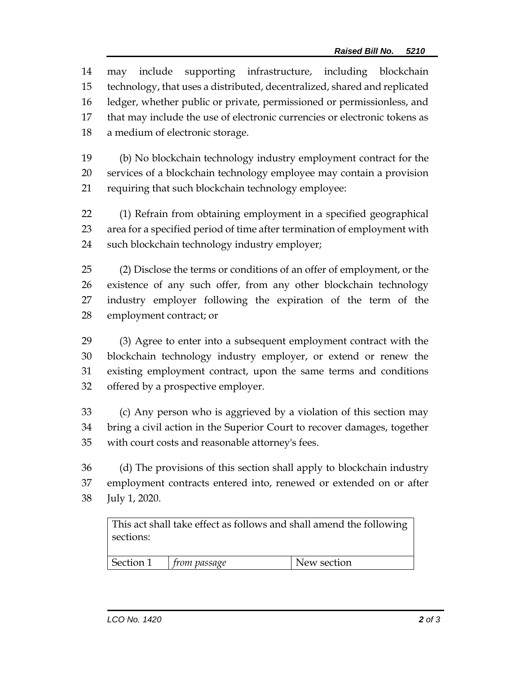may include supporting infrastructure, including blockchain technology, that uses a distributed, decentralized, shared and replicated ledger, whether public or private, permissioned or permissionless, and that may include the use of electronic currencies or electronic tokens as a medium of electronic storage.

 (b) No blockchain technology industry employment contract for the services of a blockchain technology employee may contain a provision requiring that such blockchain technology employee:

 (1) Refrain from obtaining employment in a specified geographical area for a specified period of time after termination of employment with such blockchain technology industry employer;

 (2) Disclose the terms or conditions of an offer of employment, or the existence of any such offer, from any other blockchain technology industry employer following the expiration of the term of the employment contract; or

 (3) Agree to enter into a subsequent employment contract with the blockchain technology industry employer, or extend or renew the existing employment contract, upon the same terms and conditions offered by a prospective employer.

 (c) Any person who is aggrieved by a violation of this section may bring a civil action in the Superior Court to recover damages, together with court costs and reasonable attorney's fees.

 (d) The provisions of this section shall apply to blockchain industry employment contracts entered into, renewed or extended on or after July 1, 2020.

This act shall take effect as follows and shall amend the following sections: Section 1 *from passage* New section